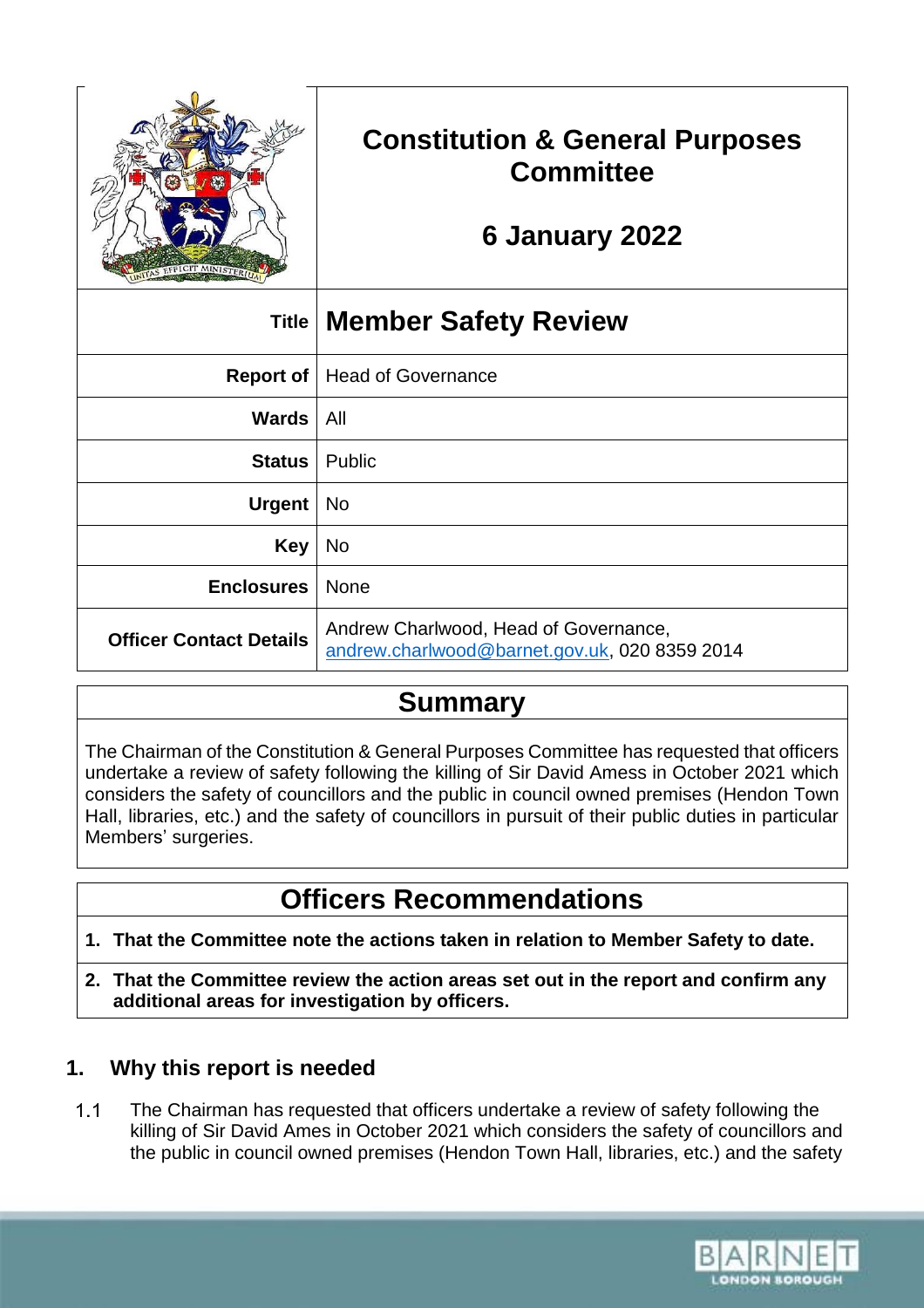

# **Constitution & General Purposes Committee**

# **6 January 2022**

| Title                          | ∣Member Safety Review                                                                  |
|--------------------------------|----------------------------------------------------------------------------------------|
| <b>Report of</b>               | <b>Head of Governance</b>                                                              |
| Wards                          | All                                                                                    |
| <b>Status</b>                  | Public                                                                                 |
| <b>Urgent</b>                  | No                                                                                     |
| <b>Key</b>                     | No                                                                                     |
| <b>Enclosures</b>              | <b>None</b>                                                                            |
| <b>Officer Contact Details</b> | Andrew Charlwood, Head of Governance,<br>andrew.charlwood@barnet.gov.uk, 020 8359 2014 |

## **Summary**

The Chairman of the Constitution & General Purposes Committee has requested that officers undertake a review of safety following the killing of Sir David Amess in October 2021 which considers the safety of councillors and the public in council owned premises (Hendon Town Hall, libraries, etc.) and the safety of councillors in pursuit of their public duties in particular Members' surgeries.

# **Officers Recommendations**

- **1. That the Committee note the actions taken in relation to Member Safety to date.**
- **2. That the Committee review the action areas set out in the report and confirm any additional areas for investigation by officers.**

## **1. Why this report is needed**

The Chairman has requested that officers undertake a review of safety following the  $1.1$ killing of Sir David Ames in October 2021 which considers the safety of councillors and the public in council owned premises (Hendon Town Hall, libraries, etc.) and the safety

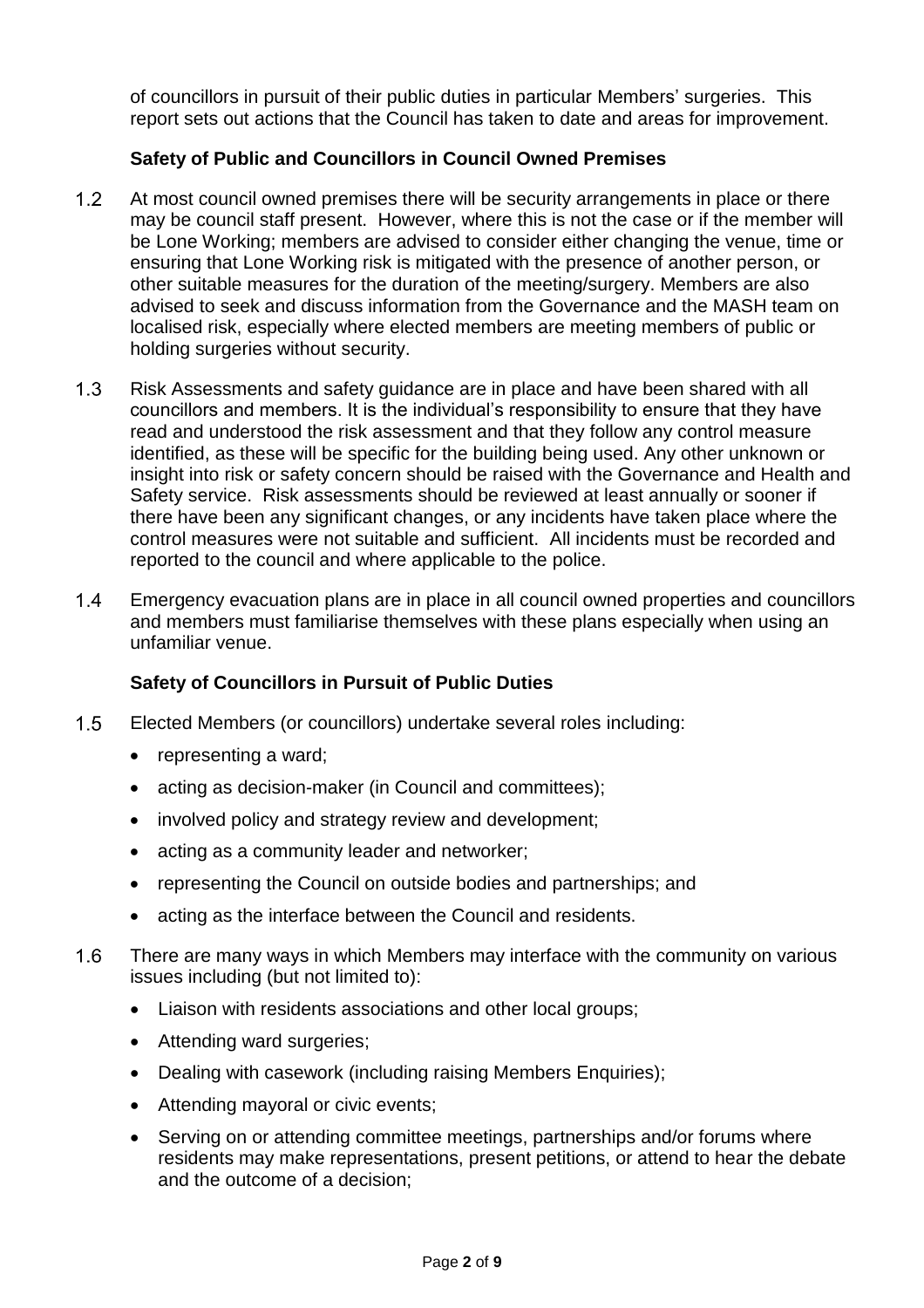of councillors in pursuit of their public duties in particular Members' surgeries. This report sets out actions that the Council has taken to date and areas for improvement.

#### **Safety of Public and Councillors in Council Owned Premises**

- $1.2$ At most council owned premises there will be security arrangements in place or there may be council staff present. However, where this is not the case or if the member will be Lone Working; members are advised to consider either changing the venue, time or ensuring that Lone Working risk is mitigated with the presence of another person, or other suitable measures for the duration of the meeting/surgery. Members are also advised to seek and discuss information from the Governance and the MASH team on localised risk, especially where elected members are meeting members of public or holding surgeries without security.
- $1.3$ Risk Assessments and safety guidance are in place and have been shared with all councillors and members. It is the individual's responsibility to ensure that they have read and understood the risk assessment and that they follow any control measure identified, as these will be specific for the building being used. Any other unknown or insight into risk or safety concern should be raised with the Governance and Health and Safety service. Risk assessments should be reviewed at least annually or sooner if there have been any significant changes, or any incidents have taken place where the control measures were not suitable and sufficient. All incidents must be recorded and reported to the council and where applicable to the police.
- $1.4$ Emergency evacuation plans are in place in all council owned properties and councillors and members must familiarise themselves with these plans especially when using an unfamiliar venue.

### **Safety of Councillors in Pursuit of Public Duties**

- $1.5$ Elected Members (or councillors) undertake several roles including:
	- representing a ward;
	- acting as decision-maker (in Council and committees);
	- involved policy and strategy review and development;
	- acting as a community leader and networker;
	- representing the Council on outside bodies and partnerships; and
	- acting as the interface between the Council and residents.
- $1.6$ There are many ways in which Members may interface with the community on various issues including (but not limited to):
	- Liaison with residents associations and other local groups;
	- Attending ward surgeries;
	- Dealing with casework (including raising Members Enquiries);
	- Attending mayoral or civic events;
	- Serving on or attending committee meetings, partnerships and/or forums where residents may make representations, present petitions, or attend to hear the debate and the outcome of a decision;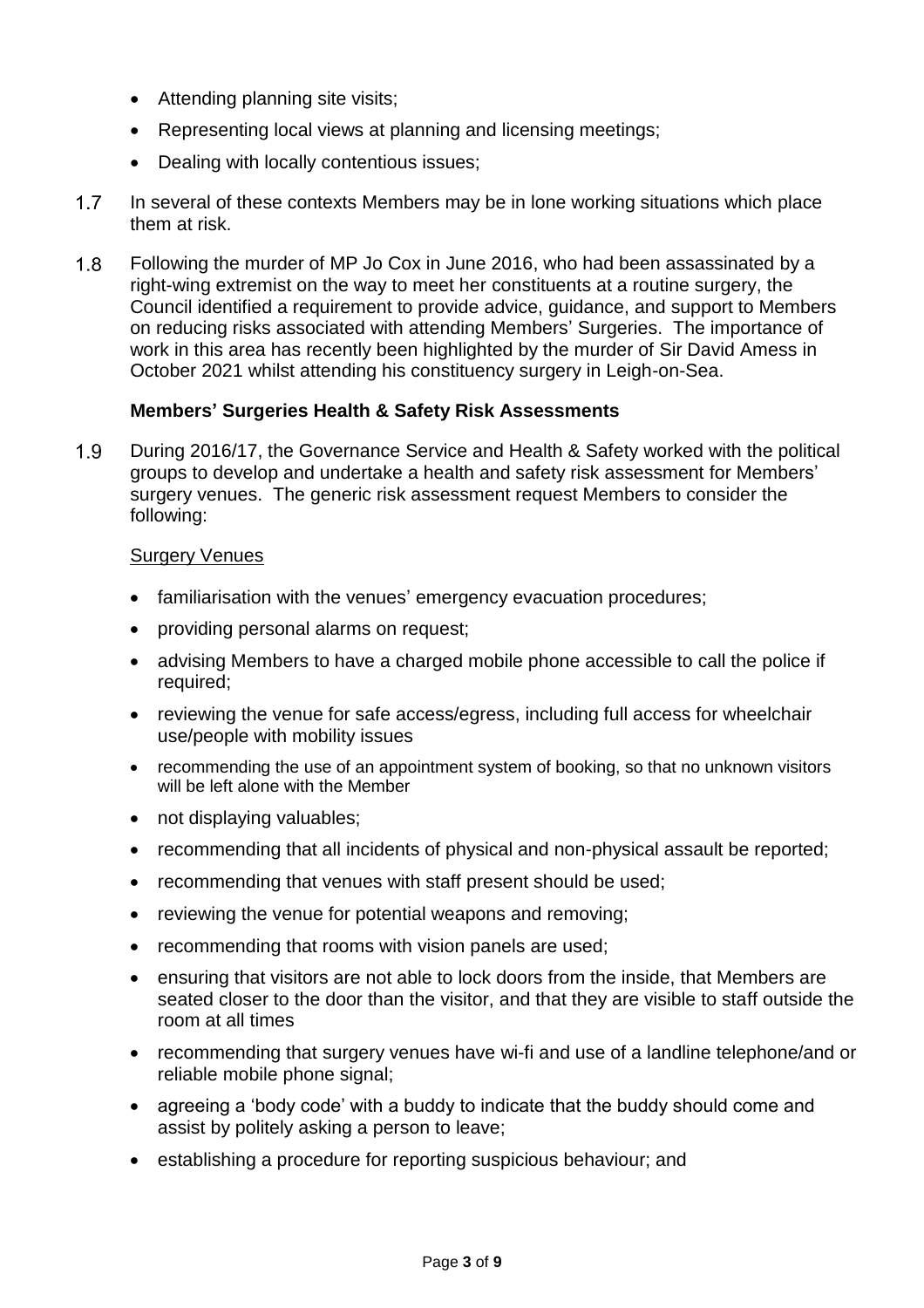- Attending planning site visits;
- Representing local views at planning and licensing meetings;
- Dealing with locally contentious issues;
- $1.7$ In several of these contexts Members may be in lone working situations which place them at risk.
- $1.8$ Following the murder of MP Jo Cox in June 2016, who had been assassinated by a right-wing extremist on the way to meet her constituents at a routine surgery, the Council identified a requirement to provide advice, guidance, and support to Members on reducing risks associated with attending Members' Surgeries. The importance of work in this area has recently been highlighted by the murder of Sir David Amess in October 2021 whilst attending his constituency surgery in Leigh-on-Sea.

### **Members' Surgeries Health & Safety Risk Assessments**

 $1.9$ During 2016/17, the Governance Service and Health & Safety worked with the political groups to develop and undertake a health and safety risk assessment for Members' surgery venues. The generic risk assessment request Members to consider the following:

### Surgery Venues

- familiarisation with the venues' emergency evacuation procedures;
- providing personal alarms on request;
- advising Members to have a charged mobile phone accessible to call the police if required;
- reviewing the venue for safe access/egress, including full access for wheelchair use/people with mobility issues
- recommending the use of an appointment system of booking, so that no unknown visitors will be left alone with the Member
- not displaying valuables;
- recommending that all incidents of physical and non-physical assault be reported;
- recommending that venues with staff present should be used;
- reviewing the venue for potential weapons and removing;
- recommending that rooms with vision panels are used;
- ensuring that visitors are not able to lock doors from the inside, that Members are seated closer to the door than the visitor, and that they are visible to staff outside the room at all times
- recommending that surgery venues have wi-fi and use of a landline telephone/and or reliable mobile phone signal;
- agreeing a 'body code' with a buddy to indicate that the buddy should come and assist by politely asking a person to leave;
- establishing a procedure for reporting suspicious behaviour; and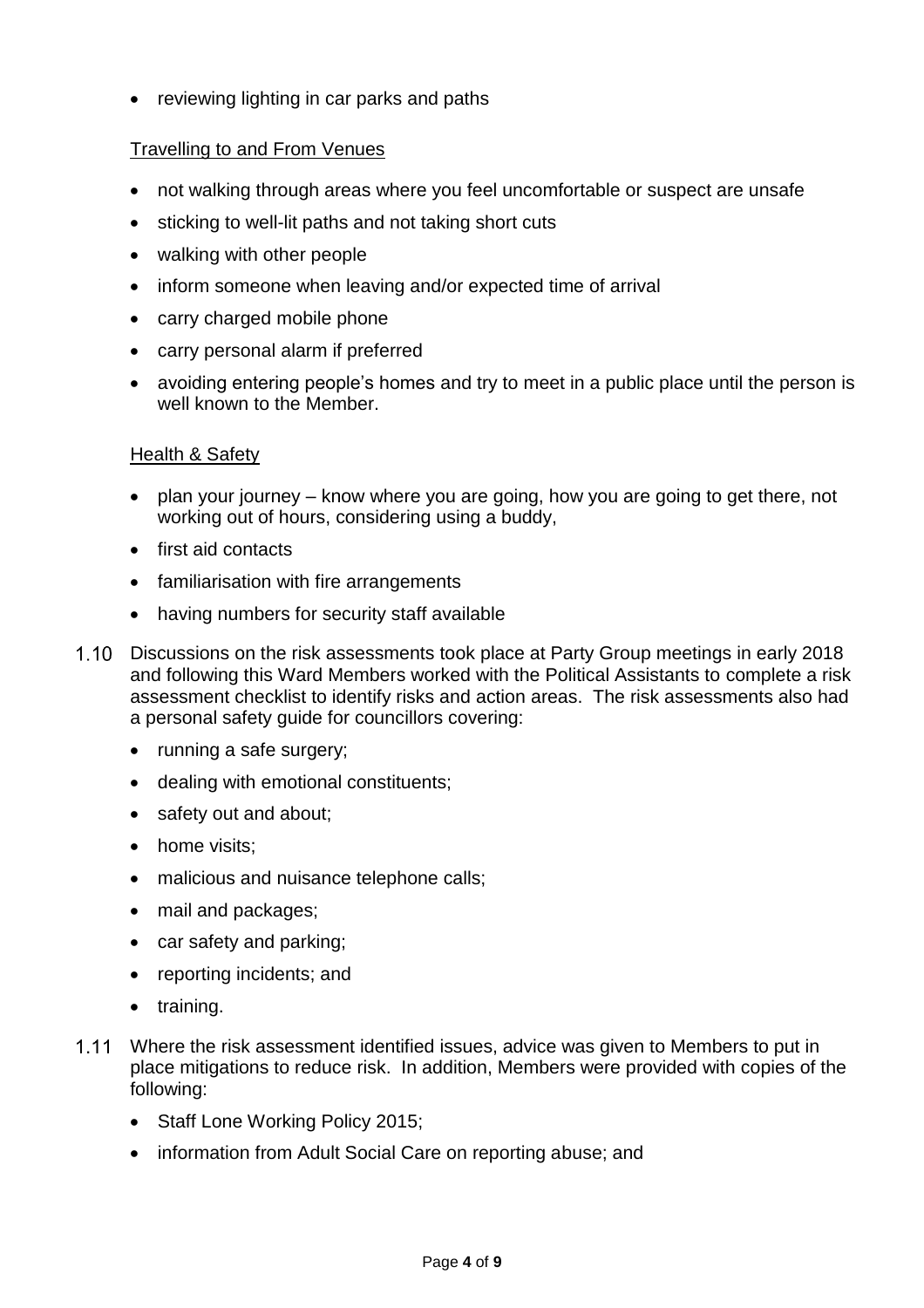• reviewing lighting in car parks and paths

### Travelling to and From Venues

- not walking through areas where you feel uncomfortable or suspect are unsafe
- sticking to well-lit paths and not taking short cuts
- walking with other people
- inform someone when leaving and/or expected time of arrival
- carry charged mobile phone
- carry personal alarm if preferred
- avoiding entering people's homes and try to meet in a public place until the person is well known to the Member

#### Health & Safety

- plan your journey know where you are going, how you are going to get there, not working out of hours, considering using a buddy,
- first aid contacts
- familiarisation with fire arrangements
- having numbers for security staff available
- 1.10 Discussions on the risk assessments took place at Party Group meetings in early 2018 and following this Ward Members worked with the Political Assistants to complete a risk assessment checklist to identify risks and action areas. The risk assessments also had a personal safety guide for councillors covering:
	- running a safe surgery;
	- dealing with emotional constituents;
	- safety out and about;
	- home visits;
	- malicious and nuisance telephone calls;
	- mail and packages;
	- car safety and parking;
	- reporting incidents; and
	- training.
- Where the risk assessment identified issues, advice was given to Members to put in place mitigations to reduce risk. In addition, Members were provided with copies of the following:
	- Staff Lone Working Policy 2015;
	- information from Adult Social Care on reporting abuse; and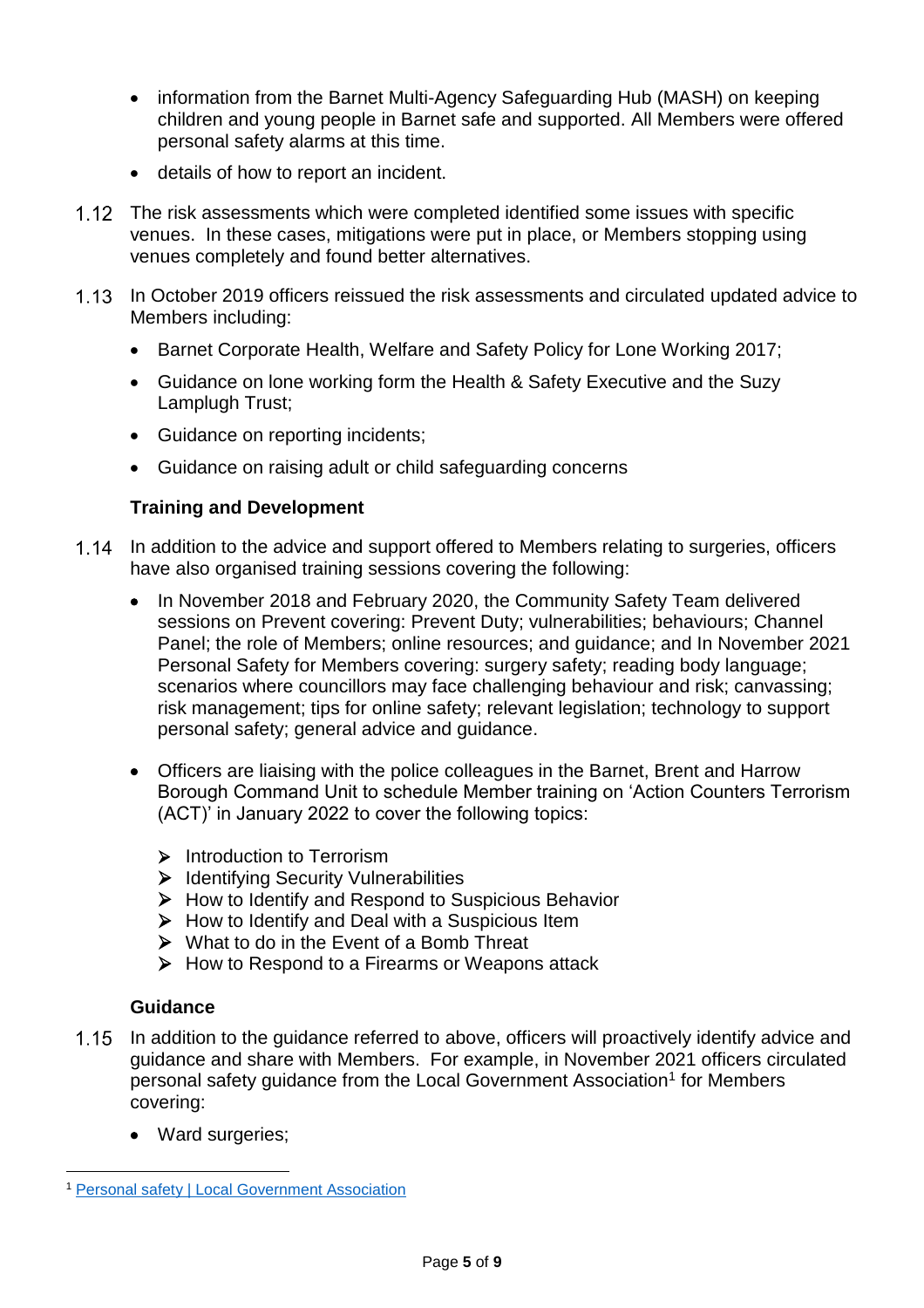- information from the Barnet Multi-Agency Safeguarding Hub (MASH) on keeping children and young people in Barnet safe and supported. All Members were offered personal safety alarms at this time.
- details of how to report an incident.
- 1.12 The risk assessments which were completed identified some issues with specific venues. In these cases, mitigations were put in place, or Members stopping using venues completely and found better alternatives.
- 1.13 In October 2019 officers reissued the risk assessments and circulated updated advice to Members including:
	- Barnet Corporate Health, Welfare and Safety Policy for Lone Working 2017;
	- Guidance on lone working form the Health & Safety Executive and the Suzy Lamplugh Trust;
	- Guidance on reporting incidents;
	- Guidance on raising adult or child safeguarding concerns

### **Training and Development**

- 1.14 In addition to the advice and support offered to Members relating to surgeries, officers have also organised training sessions covering the following:
	- In November 2018 and February 2020, the Community Safety Team delivered sessions on Prevent covering: Prevent Duty; vulnerabilities; behaviours; Channel Panel; the role of Members; online resources; and guidance; and In November 2021 Personal Safety for Members covering: surgery safety; reading body language; scenarios where councillors may face challenging behaviour and risk; canvassing; risk management; tips for online safety; relevant legislation; technology to support personal safety; general advice and guidance.
	- Officers are liaising with the police colleagues in the Barnet, Brent and Harrow Borough Command Unit to schedule Member training on 'Action Counters Terrorism (ACT)' in January 2022 to cover the following topics:
		- Introduction to Terrorism
		- $\triangleright$  Identifying Security Vulnerabilities
		- $\triangleright$  How to Identify and Respond to Suspicious Behavior
		- $\triangleright$  How to Identify and Deal with a Suspicious Item
		- $\triangleright$  What to do in the Event of a Bomb Threat
		- $\triangleright$  How to Respond to a Firearms or Weapons attack

#### **Guidance**

- $1.15$ In addition to the guidance referred to above, officers will proactively identify advice and guidance and share with Members. For example, in November 2021 officers circulated personal safety guidance from the Local Government Association<sup>1</sup> for Members covering:
	- Ward surgeries:

l <sup>1</sup> [Personal safety | Local Government Association](https://local.gov.uk/personal-safety)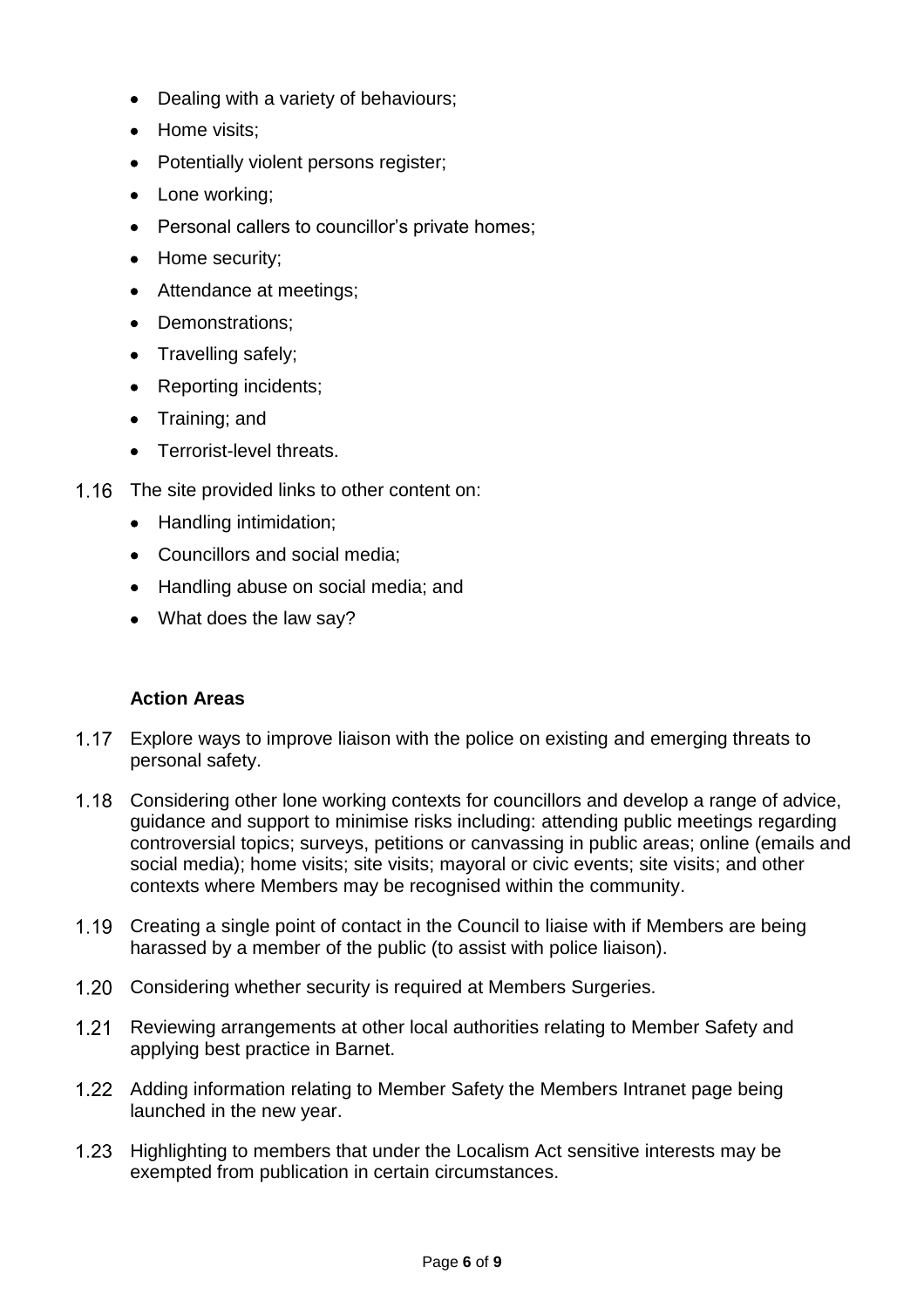- Dealing with a variety of behaviours;
- Home visits:
- Potentially violent persons register;
- Lone working;
- Personal callers to councillor's private homes;
- Home security:
- Attendance at meetings;
- Demonstrations:
- Travelling safely;
- Reporting incidents;
- Training; and
- Terrorist-level threats.
- 1.16 The site provided links to other content on:
	- Handling intimidation;
	- Councillors and social media;
	- Handling abuse on social media; and
	- What does the law say?

### **Action Areas**

- 1.17 Explore ways to improve liaison with the police on existing and emerging threats to personal safety.
- Considering other lone working contexts for councillors and develop a range of advice, guidance and support to minimise risks including: attending public meetings regarding controversial topics; surveys, petitions or canvassing in public areas; online (emails and social media); home visits; site visits; mayoral or civic events; site visits; and other contexts where Members may be recognised within the community.
- Creating a single point of contact in the Council to liaise with if Members are being harassed by a member of the public (to assist with police liaison).
- 1.20 Considering whether security is required at Members Surgeries.
- $1.21$ Reviewing arrangements at other local authorities relating to Member Safety and applying best practice in Barnet.
- Adding information relating to Member Safety the Members Intranet page being launched in the new year.
- 1.23 Highlighting to members that under the Localism Act sensitive interests may be exempted from publication in certain circumstances.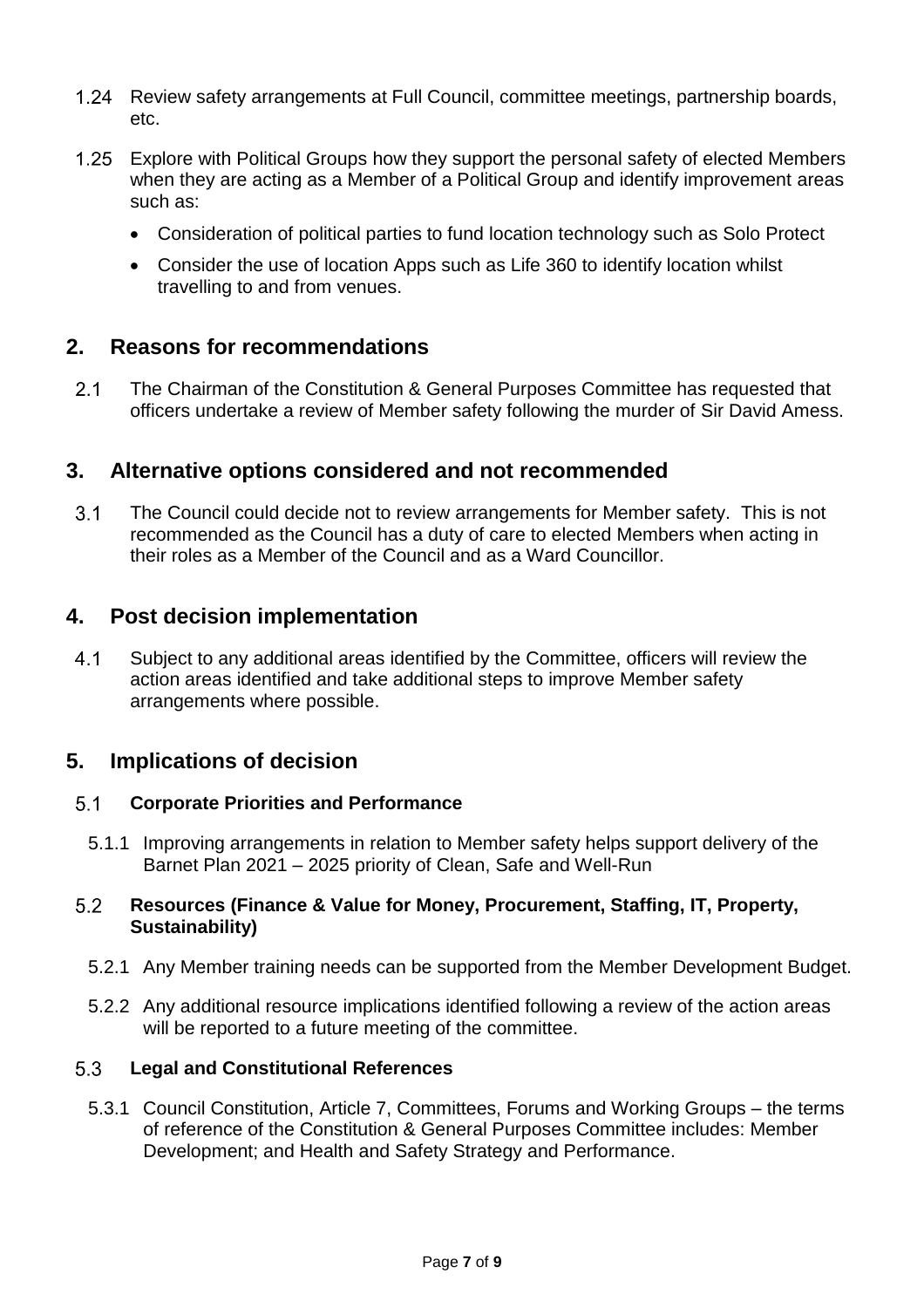- $1.24$ Review safety arrangements at Full Council, committee meetings, partnership boards, etc.
- Explore with Political Groups how they support the personal safety of elected Members when they are acting as a Member of a Political Group and identify improvement areas such as:
	- Consideration of political parties to fund location technology such as Solo Protect
	- Consider the use of location Apps such as Life 360 to identify location whilst travelling to and from venues.

### **2. Reasons for recommendations**

 $2.1$ The Chairman of the Constitution & General Purposes Committee has requested that officers undertake a review of Member safety following the murder of Sir David Amess.

### **3. Alternative options considered and not recommended**

 $3.1$ The Council could decide not to review arrangements for Member safety. This is not recommended as the Council has a duty of care to elected Members when acting in their roles as a Member of the Council and as a Ward Councillor.

### **4. Post decision implementation**

 $4.1$ Subject to any additional areas identified by the Committee, officers will review the action areas identified and take additional steps to improve Member safety arrangements where possible.

### **5. Implications of decision**

#### $5.1$ **Corporate Priorities and Performance**

5.1.1 Improving arrangements in relation to Member safety helps support delivery of the Barnet Plan 2021 – 2025 priority of Clean, Safe and Well-Run

#### $5.2$ **Resources (Finance & Value for Money, Procurement, Staffing, IT, Property, Sustainability)**

- 5.2.1 Any Member training needs can be supported from the Member Development Budget.
- 5.2.2 Any additional resource implications identified following a review of the action areas will be reported to a future meeting of the committee.

#### $5.3$ **Legal and Constitutional References**

5.3.1 Council Constitution, Article 7, Committees, Forums and Working Groups – the terms of reference of the Constitution & General Purposes Committee includes: Member Development; and Health and Safety Strategy and Performance.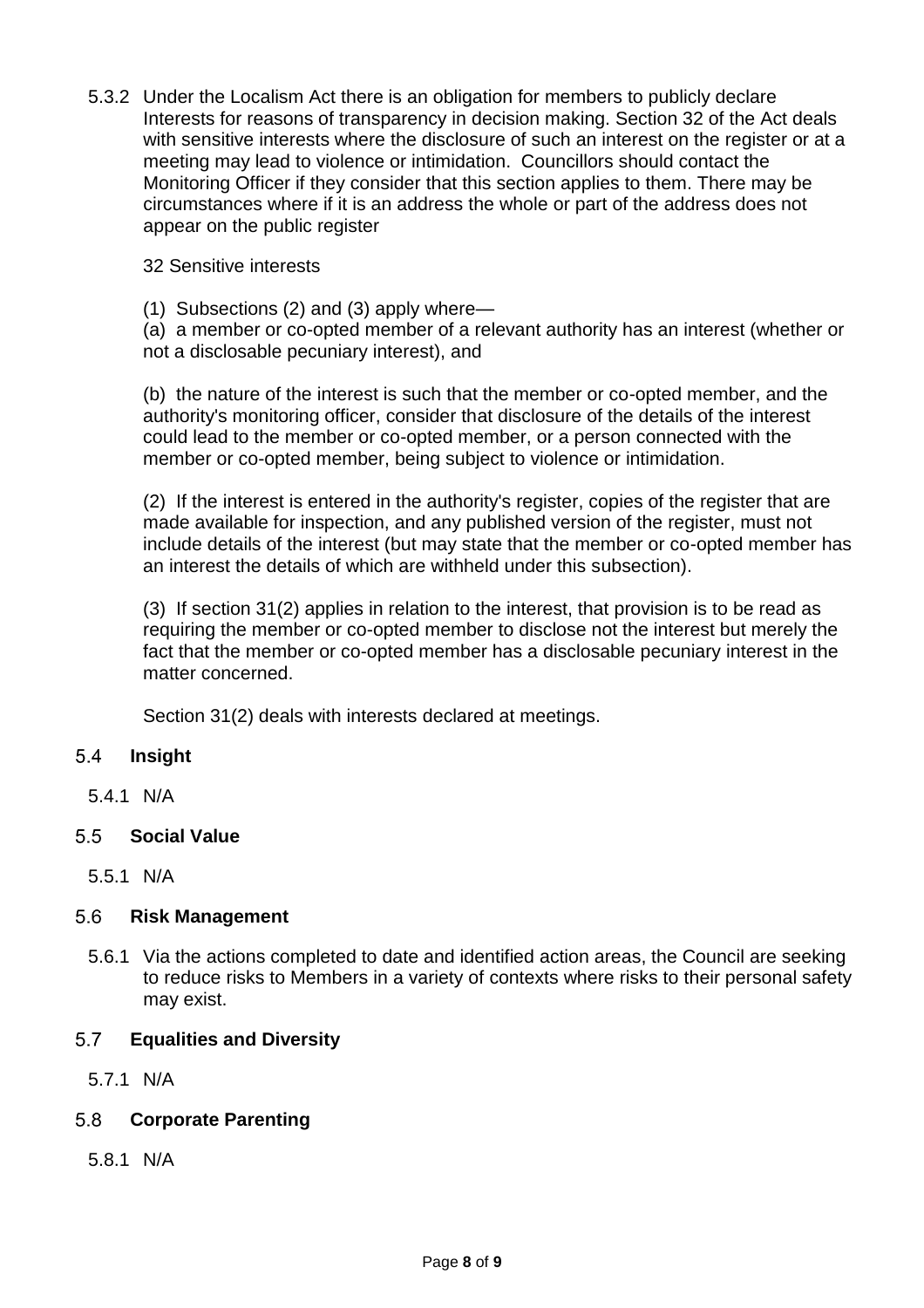5.3.2 Under the Localism Act there is an obligation for members to publicly declare Interests for reasons of transparency in decision making. Section 32 of the Act deals with sensitive interests where the disclosure of such an interest on the register or at a meeting may lead to violence or intimidation. Councillors should contact the Monitoring Officer if they consider that this section applies to them. There may be circumstances where if it is an address the whole or part of the address does not appear on the public register

32 Sensitive interests

(1) Subsections (2) and (3) apply where—

(a) a member or co-opted member of a relevant authority has an interest (whether or not a disclosable pecuniary interest), and

(b) the nature of the interest is such that the member or co-opted member, and the authority's monitoring officer, consider that disclosure of the details of the interest could lead to the member or co-opted member, or a person connected with the member or co-opted member, being subject to violence or intimidation.

(2) If the interest is entered in the authority's register, copies of the register that are made available for inspection, and any published version of the register, must not include details of the interest (but may state that the member or co-opted member has an interest the details of which are withheld under this subsection).

(3) If section 31(2) applies in relation to the interest, that provision is to be read as requiring the member or co-opted member to disclose not the interest but merely the fact that the member or co-opted member has a disclosable pecuniary interest in the matter concerned.

Section 31(2) deals with interests declared at meetings.

#### $5.4$ **Insight**

5.4.1 N/A

### **Social Value**

5.5.1 N/A

#### 5.6 **Risk Management**

5.6.1 Via the actions completed to date and identified action areas, the Council are seeking to reduce risks to Members in a variety of contexts where risks to their personal safety may exist.

#### $5.7$ **Equalities and Diversity**

5.7.1 N/A

#### $5.8$ **Corporate Parenting**

5.8.1 N/A